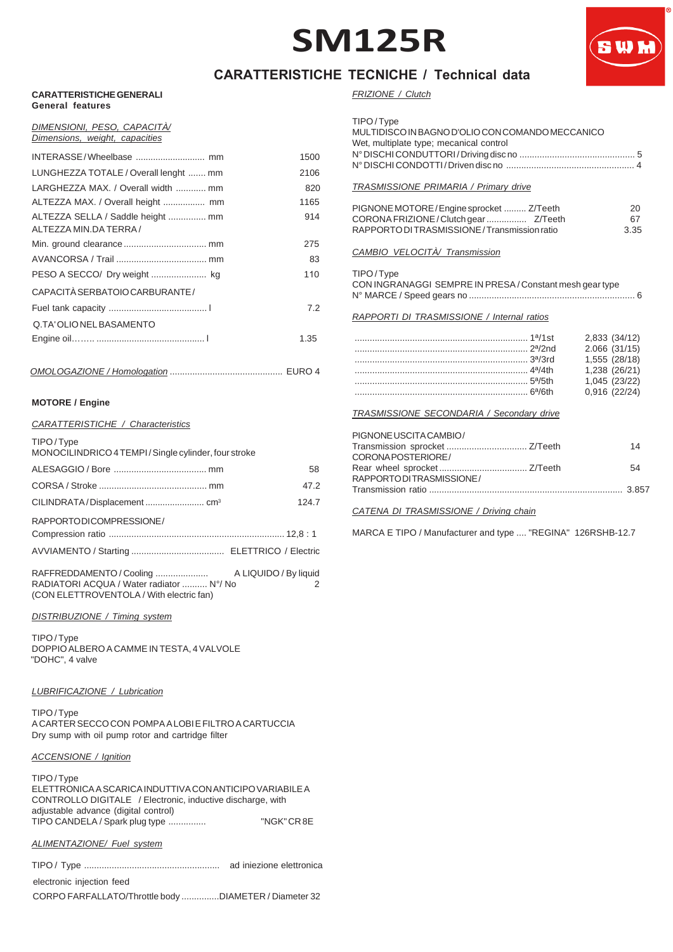# **SM125R**



# **CARATTERISTICHE TECNICHE / Technical data**

### **CARATTERISTICHE GENERALI General features**

#### *DIMENSIONI, PESO, CAPACITÀ/ Dimensions, weight, capacities*

|                                       | 1500 |
|---------------------------------------|------|
| LUNGHEZZA TOTALE / Overall lenght  mm | 2106 |
| LARGHEZZA MAX. / Overall width  mm    | 820  |
| ALTEZZA MAX. / Overall height  mm     | 1165 |
| ALTEZZA SELLA / Saddle height  mm     | 914  |
| ALTEZZA MIN.DA TERRA /                |      |
|                                       | 275  |
|                                       | 83   |
|                                       | 110  |
| CAPACITÀ SERBATOIO CARBURANTE /       |      |
|                                       | 72   |
| Q.TA'OLIONELBASAMENTO                 |      |
|                                       | 1.35 |
|                                       |      |
|                                       |      |

# *OMOLOGAZIONE / Homologation* ............................................. EURO 4

# **MOTORE / Engine**

## *CARATTERISTICHE / Characteristics*

| TIPO/Type<br>MONOCILINDRICO 4 TEMPI/Single cylinder, four stroke |       |
|------------------------------------------------------------------|-------|
|                                                                  | 58    |
|                                                                  | 47.2  |
|                                                                  | 124.7 |
| RAPPORTODICOMPRESSIONE/                                          |       |
|                                                                  |       |
|                                                                  |       |
|                                                                  |       |

y liquid<br>2 RADIATORI ACQUA / Water radiator .......... N°/ No 2 (CON ELETTROVENTOLA / With electric fan)

## *DISTRIBUZIONE / Timing system*

TIPO / Type DOPPIO ALBERO A CAMME IN TESTA, 4 VALVOLE "DOHC", 4 valve

# *LUBRIFICAZIONE / Lubrication*

TIPO / Type A CARTER SECCO CON POMPA A LOBI E FILTRO A CARTUCCIA Dry sump with oil pump rotor and cartridge filter

#### *ACCENSIONE / Ignition*

| TIPO/Type                                                  |             |
|------------------------------------------------------------|-------------|
| ELETTRONICA A SCARICA INDUTTIVA CON ANTICIPO VARIABILE A   |             |
| CONTROLLO DIGITALE / Electronic, inductive discharge, with |             |
| adjustable advance (digital control)                       |             |
| TIPO CANDELA / Spark plug type                             | "NGK" CR 8E |
|                                                            |             |

### *ALIMENTAZIONE/ Fuel system*

TIPO / Type ...................................................... ad iniezione elettronica

electronic injection feed CORPO FARFALLATO/Throttle body ...............DIAMETER / Diameter 32 *FRIZIONE / Clutch*

| TIPO/Type<br>MULTIDISCO IN BAGNO D'OLIO CON COMANDO MECCANICO<br>Wet, multiplate type; mecanical control                           |                                |  |
|------------------------------------------------------------------------------------------------------------------------------------|--------------------------------|--|
| TRASMISSIONE PRIMARIA / Primary drive                                                                                              |                                |  |
| PIGNONE MOTORE/Engine sprocket  Z/Teeth<br>CORONA FRIZIONE / Clutch gear  Z/Teeth<br>RAPPORTO DI TRASMISSIONE / Transmission ratio | 20<br>67<br>3.35               |  |
| CAMBIO VELOCITÀ/ Transmission                                                                                                      |                                |  |
| TIPO/Type<br>CON INGRANAGGI SEMPRE IN PRESA / Constant mesh gear type<br>RAPPORTI DI TRASMISSIONE / Internal ratios                |                                |  |
|                                                                                                                                    |                                |  |
|                                                                                                                                    | 2,833 (34/12)<br>2.066 (31/15) |  |
|                                                                                                                                    | 1,555 (28/18)                  |  |
|                                                                                                                                    | 1,238 (26/21)                  |  |
|                                                                                                                                    | 1,045 (23/22)                  |  |
|                                                                                                                                    |                                |  |
|                                                                                                                                    | 0,916 (22/24)                  |  |
| TRASMISSIONE SECONDARIA / Secondary drive                                                                                          |                                |  |
| PIGNONE USCITA CAMBIO/                                                                                                             |                                |  |
| Transmission sprocket  Z/Teeth                                                                                                     | 14                             |  |
| CORONA POSTERIORE/                                                                                                                 |                                |  |
|                                                                                                                                    | 54                             |  |
| RAPPORTODITRASMISSIONE/                                                                                                            |                                |  |

# *CATENA DI TRASMISSIONE / Driving chain*

MARCA E TIPO / Manufacturer and type .... "REGINA" 126RSHB-12.7